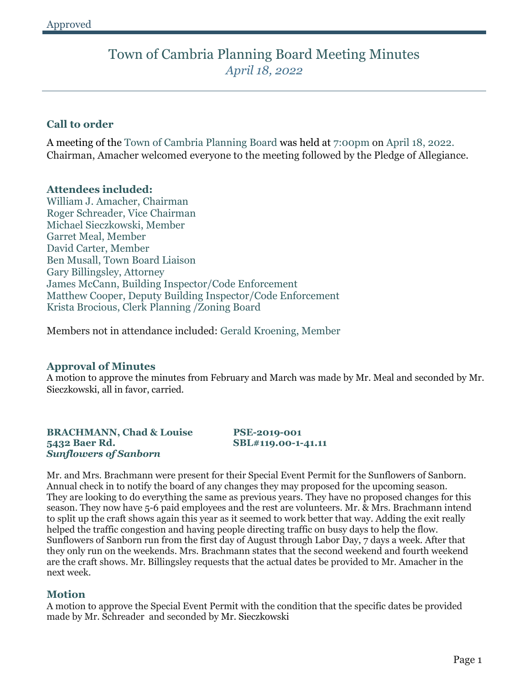# Town of Cambria Planning Board Meeting Minutes *April 18, 2022*

# **Call to order**

A meeting of the Town of Cambria Planning Board was held at 7:00pm on April 18, 2022. Chairman, Amacher welcomed everyone to the meeting followed by the Pledge of Allegiance.

#### **Attendees included:**

William J. Amacher, Chairman Roger Schreader, Vice Chairman Michael Sieczkowski, Member Garret Meal, Member David Carter, Member Ben Musall, Town Board Liaison Gary Billingsley, Attorney James McCann, Building Inspector/Code Enforcement Matthew Cooper, Deputy Building Inspector/Code Enforcement Krista Brocious, Clerk Planning /Zoning Board

Members not in attendance included: Gerald Kroening, Member

# **Approval of Minutes**

A motion to approve the minutes from February and March was made by Mr. Meal and seconded by Mr. Sieczkowski, all in favor, carried.

#### **BRACHMANN, Chad & Louise PSE-2019-001 5432 Baer Rd. SBL#119.00-1-41.11** *Sunflowers of Sanborn*

Mr. and Mrs. Brachmann were present for their Special Event Permit for the Sunflowers of Sanborn. Annual check in to notify the board of any changes they may proposed for the upcoming season. They are looking to do everything the same as previous years. They have no proposed changes for this season. They now have 5-6 paid employees and the rest are volunteers. Mr. & Mrs. Brachmann intend to split up the craft shows again this year as it seemed to work better that way. Adding the exit really helped the traffic congestion and having people directing traffic on busy days to help the flow. Sunflowers of Sanborn run from the first day of August through Labor Day, 7 days a week. After that they only run on the weekends. Mrs. Brachmann states that the second weekend and fourth weekend are the craft shows. Mr. Billingsley requests that the actual dates be provided to Mr. Amacher in the next week.

# **Motion**

A motion to approve the Special Event Permit with the condition that the specific dates be provided made by Mr. Schreader and seconded by Mr. Sieczkowski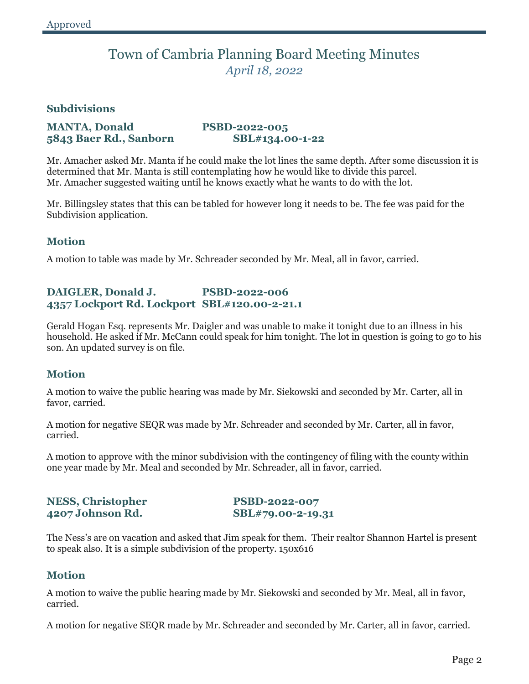# Town of Cambria Planning Board Meeting Minutes *April 18, 2022*

### **Subdivisions**

### **MANTA, Donald PSBD-2022-005 5843 Baer Rd., Sanborn SBL#134.00-1-22**

Mr. Amacher asked Mr. Manta if he could make the lot lines the same depth. After some discussion it is determined that Mr. Manta is still contemplating how he would like to divide this parcel. Mr. Amacher suggested waiting until he knows exactly what he wants to do with the lot.

Mr. Billingsley states that this can be tabled for however long it needs to be. The fee was paid for the Subdivision application.

# **Motion**

A motion to table was made by Mr. Schreader seconded by Mr. Meal, all in favor, carried.

# **DAIGLER, Donald J. PSBD-2022-006 4357 Lockport Rd. Lockport SBL#120.00-2-21.1**

Gerald Hogan Esq. represents Mr. Daigler and was unable to make it tonight due to an illness in his household. He asked if Mr. McCann could speak for him tonight. The lot in question is going to go to his son. An updated survey is on file.

# **Motion**

A motion to waive the public hearing was made by Mr. Siekowski and seconded by Mr. Carter, all in favor, carried.

A motion for negative SEQR was made by Mr. Schreader and seconded by Mr. Carter, all in favor, carried.

A motion to approve with the minor subdivision with the contingency of filing with the county within one year made by Mr. Meal and seconded by Mr. Schreader, all in favor, carried.

# **NESS, Christopher PSBD-2022-007 4207 Johnson Rd. SBL#79.00-2-19.31**

The Ness's are on vacation and asked that Jim speak for them. Their realtor Shannon Hartel is present to speak also. It is a simple subdivision of the property. 150x616

# **Motion**

A motion to waive the public hearing made by Mr. Siekowski and seconded by Mr. Meal, all in favor, carried.

A motion for negative SEQR made by Mr. Schreader and seconded by Mr. Carter, all in favor, carried.